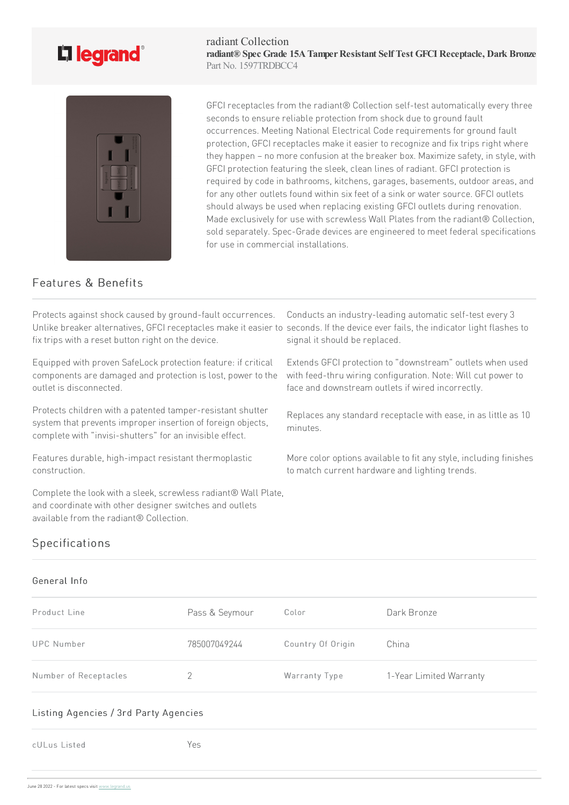# L<sub>legrand</sub>

radiant Collection **radiant® Spec Grade 15ATamperResistant Self Test GFCI Receptacle, Dark Bronze** Part No. 1597TRDBCC4



GFCI receptacles from the radiant® Collection self-test automatically every three seconds to ensure reliable protection from shock due to ground fault occurrences. Meeting National Electrical Code requirements for ground fault protection, GFCI receptacles make it easier to recognize and fix trips right where they happen – no more confusion at the breaker box. Maximize safety, in style, with GFCI protection featuring the sleek, clean lines of radiant. GFCI protection is required by code in bathrooms, kitchens, garages, basements, outdoor areas, and for any other outlets found within six feet of a sink or water source. GFCI outlets should always be used when replacing existing GFCI outlets during renovation. Made exclusively for use with screwless Wall Plates from the radiant® Collection, sold separately. Spec-Grade devices are engineered to meet federal specifications for use in commercial installations.

## Features & Benefits

Protects against shock caused by ground-fault occurrences. Unlike breaker alternatives, GFCI receptacles make it easier to seconds. If the device ever fails, the indicator light flashes to fix trips with a reset button right on the device.

Equipped with proven SafeLock protection feature: if critical components are damaged and protection is lost, power to the outlet is disconnected.

Protects children with a patented tamper-resistant shutter system that prevents improper insertion of foreign objects, complete with "invisi-shutters" for an invisible effect.

Features durable, high-impact resistant thermoplastic construction.

Complete the look with a sleek, screwless radiant® Wall Plate, and coordinate with other designer switches and outlets available from the radiant® Collection.

Conducts an industry-leading automatic self-test every 3 signal it should be replaced.

Extends GFCI protection to "downstream" outlets when used with feed-thru wiring configuration. Note: Will cut power to face and downstream outlets if wired incorrectly.

Replaces any standard receptacle with ease, in as little as 10 minutes.

More color options available to fit any style, including finishes to match current hardware and lighting trends.

## Specifications

### General Info

| Product Line          | Pass & Seymour | Color             | Dark Bronze             |
|-----------------------|----------------|-------------------|-------------------------|
| UPC Number            | 785007049244   | Country Of Origin | China                   |
| Number of Receptacles |                | Warranty Type     | 1-Year Limited Warranty |

#### Listing Agencies / 3rd Party Agencies

cULus Listed Yes